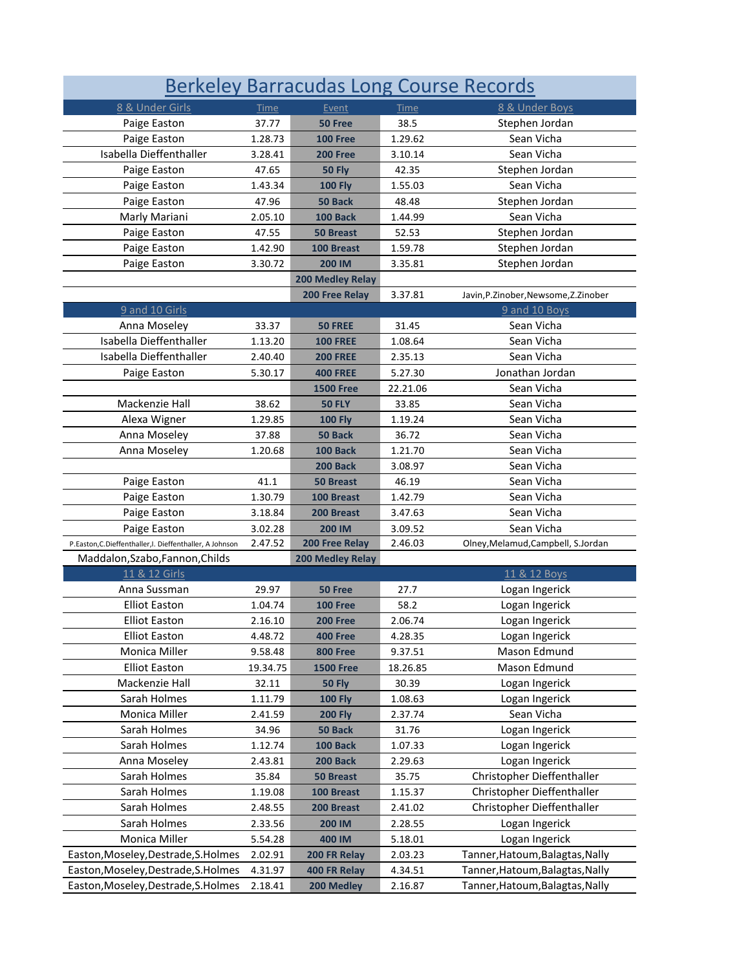|                                                                                             |                    | <b>Berkeley Barracudas Long Course Records</b> |                    |                                      |
|---------------------------------------------------------------------------------------------|--------------------|------------------------------------------------|--------------------|--------------------------------------|
| 8 & Under Girls                                                                             | <u>Time</u>        | Event                                          | <u>Time</u>        | 8 & Under Boys                       |
| Paige Easton                                                                                | 37.77              | 50 Free                                        | 38.5               | Stephen Jordan                       |
| Paige Easton                                                                                | 1.28.73            | <b>100 Free</b>                                | 1.29.62            | Sean Vicha                           |
| Isabella Dieffenthaller                                                                     | 3.28.41            | <b>200 Free</b>                                | 3.10.14            | Sean Vicha                           |
| Paige Easton                                                                                | 47.65              | <b>50 Fly</b>                                  | 42.35              | Stephen Jordan                       |
| Paige Easton                                                                                | 1.43.34            | <b>100 Fly</b>                                 | 1.55.03            | Sean Vicha                           |
| Paige Easton                                                                                | 47.96              | 50 Back                                        | 48.48              | Stephen Jordan                       |
| Marly Mariani                                                                               | 2.05.10            | 100 Back                                       | 1.44.99            | Sean Vicha                           |
| Paige Easton                                                                                | 47.55              | <b>50 Breast</b>                               | 52.53              | Stephen Jordan                       |
| Paige Easton                                                                                | 1.42.90            | 100 Breast                                     | 1.59.78            | Stephen Jordan                       |
| Paige Easton                                                                                | 3.30.72            | 200 IM                                         | 3.35.81            | Stephen Jordan                       |
|                                                                                             |                    | 200 Medley Relay                               |                    |                                      |
|                                                                                             |                    | 200 Free Relay                                 | 3.37.81            | Javin, P.Zinober, Newsome, Z.Zinober |
| 9 and 10 Girls                                                                              |                    |                                                |                    | 9 and 10 Boys                        |
| Anna Moseley                                                                                | 33.37              | <b>50 FREE</b>                                 | 31.45              | Sean Vicha                           |
| Isabella Dieffenthaller                                                                     | 1.13.20            | <b>100 FREE</b>                                | 1.08.64            | Sean Vicha                           |
| Isabella Dieffenthaller                                                                     | 2.40.40            | <b>200 FREE</b>                                | 2.35.13            | Sean Vicha                           |
| Paige Easton                                                                                | 5.30.17            | <b>400 FREE</b>                                | 5.27.30            | Jonathan Jordan                      |
|                                                                                             |                    | <b>1500 Free</b>                               | 22.21.06           | Sean Vicha                           |
| Mackenzie Hall                                                                              | 38.62              | <b>50 FLY</b>                                  | 33.85              | Sean Vicha                           |
| Alexa Wigner                                                                                | 1.29.85            | <b>100 Fly</b>                                 | 1.19.24            | Sean Vicha                           |
| Anna Moseley                                                                                | 37.88              | 50 Back                                        | 36.72              | Sean Vicha                           |
| Anna Moseley                                                                                | 1.20.68            | 100 Back                                       | 1.21.70            | Sean Vicha                           |
|                                                                                             |                    | 200 Back                                       | 3.08.97            | Sean Vicha                           |
|                                                                                             | 41.1               | <b>50 Breast</b>                               | 46.19              | Sean Vicha                           |
| Paige Easton<br>Paige Easton                                                                | 1.30.79            |                                                | 1.42.79            | Sean Vicha                           |
|                                                                                             |                    | 100 Breast                                     |                    | Sean Vicha                           |
| Paige Easton                                                                                | 3.18.84            | 200 Breast                                     | 3.47.63            |                                      |
| Paige Easton                                                                                | 3.02.28<br>2.47.52 | 200 IM                                         | 3.09.52<br>2.46.03 | Sean Vicha                           |
| P.Easton, C.Dieffenthaller, I. Dieffenthaller, A Johnson<br>Maddalon, Szabo, Fannon, Childs |                    | 200 Free Relay                                 |                    | Olney, Melamud, Campbell, S.Jordan   |
| 11 & 12 Girls                                                                               |                    | 200 Medley Relay                               |                    | 11 & 12 Boys                         |
| Anna Sussman                                                                                |                    |                                                |                    |                                      |
|                                                                                             | 29.97              | 50 Free                                        | 27.7               | Logan Ingerick                       |
| Elliot Easton<br><b>Elliot Easton</b>                                                       | 1.04.74            | <b>100 Free</b>                                | 58.2<br>2.06.74    | Logan Ingerick<br>Logan Ingerick     |
|                                                                                             | 2.16.10            | <b>200 Free</b>                                |                    |                                      |
| <b>Elliot Easton</b>                                                                        | 4.48.72            | <b>400 Free</b>                                | 4.28.35            | Logan Ingerick                       |
| Monica Miller                                                                               | 9.58.48            | <b>800 Free</b>                                | 9.37.51            | Mason Edmund                         |
| <b>Elliot Easton</b>                                                                        | 19.34.75           | <b>1500 Free</b>                               | 18.26.85           | Mason Edmund                         |
| Mackenzie Hall                                                                              | 32.11              | <b>50 Fly</b>                                  | 30.39              | Logan Ingerick                       |
| Sarah Holmes                                                                                | 1.11.79            | <b>100 Fly</b>                                 | 1.08.63            | Logan Ingerick                       |
| Monica Miller                                                                               | 2.41.59            | <b>200 Fly</b>                                 | 2.37.74            | Sean Vicha                           |
| Sarah Holmes                                                                                | 34.96              | 50 Back                                        | 31.76              | Logan Ingerick                       |
| Sarah Holmes                                                                                | 1.12.74            | 100 Back                                       | 1.07.33            | Logan Ingerick                       |
| Anna Moseley                                                                                | 2.43.81            | 200 Back                                       | 2.29.63            | Logan Ingerick                       |
| Sarah Holmes                                                                                | 35.84              | <b>50 Breast</b>                               | 35.75              | Christopher Dieffenthaller           |
| Sarah Holmes                                                                                | 1.19.08            | 100 Breast                                     | 1.15.37            | Christopher Dieffenthaller           |
| Sarah Holmes                                                                                | 2.48.55            | 200 Breast                                     | 2.41.02            | Christopher Dieffenthaller           |
| Sarah Holmes                                                                                | 2.33.56            | <b>200 IM</b>                                  | 2.28.55            | Logan Ingerick                       |
| Monica Miller                                                                               | 5.54.28            | 400 IM                                         | 5.18.01            | Logan Ingerick                       |
| Easton, Moseley, Destrade, S. Holmes                                                        | 2.02.91            | 200 FR Relay                                   | 2.03.23            | Tanner, Hatoum, Balagtas, Nally      |
| Easton, Moseley, Destrade, S. Holmes                                                        | 4.31.97            | 400 FR Relay                                   | 4.34.51            | Tanner, Hatoum, Balagtas, Nally      |
| Easton, Moseley, Destrade, S. Holmes                                                        | 2.18.41            | 200 Medley                                     | 2.16.87            | Tanner, Hatoum, Balagtas, Nally      |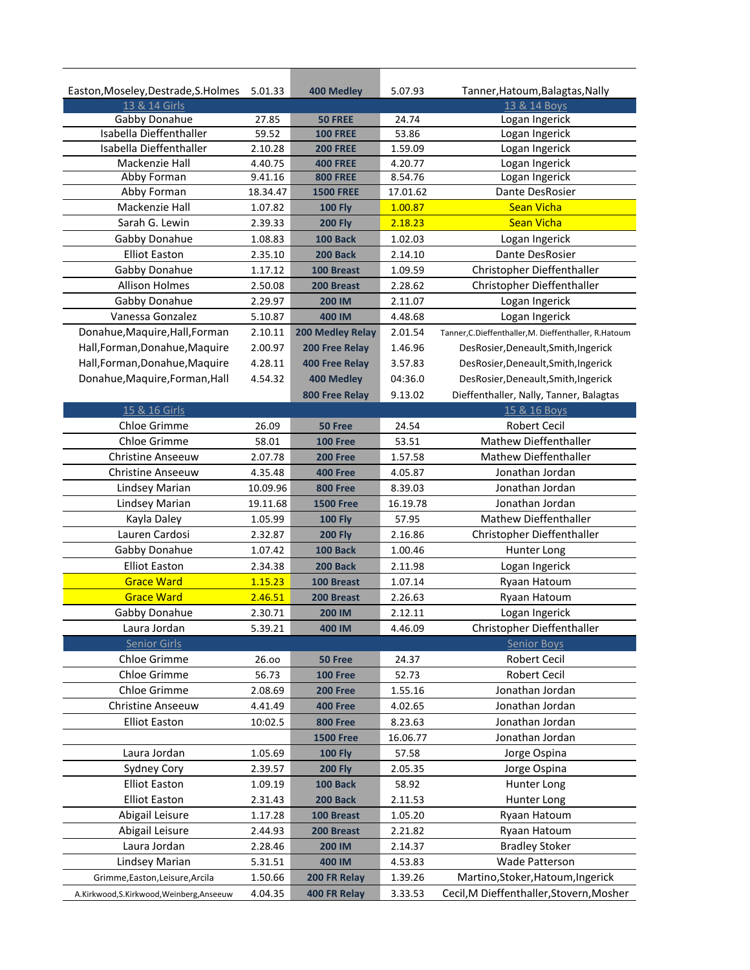| Easton, Moseley, Destrade, S. Holmes   | 5.01.33  | 400 Medley                        | 5.07.93  | Tanner, Hatoum, Balagtas, Nally                       |
|----------------------------------------|----------|-----------------------------------|----------|-------------------------------------------------------|
| 13 & 14 Girls<br>Gabby Donahue         | 27.85    |                                   | 24.74    | 13 & 14 Boys                                          |
| Isabella Dieffenthaller                | 59.52    | <b>50 FREE</b><br><b>100 FREE</b> | 53.86    | Logan Ingerick<br>Logan Ingerick                      |
| Isabella Dieffenthaller                | 2.10.28  | <b>200 FREE</b>                   | 1.59.09  | Logan Ingerick                                        |
| Mackenzie Hall                         | 4.40.75  | <b>400 FREE</b>                   | 4.20.77  | Logan Ingerick                                        |
| Abby Forman                            | 9.41.16  | <b>800 FREE</b>                   | 8.54.76  | Logan Ingerick                                        |
| Abby Forman                            | 18.34.47 | <b>1500 FREE</b>                  | 17.01.62 | Dante DesRosier                                       |
| Mackenzie Hall                         | 1.07.82  | <b>100 Fly</b>                    | 1.00.87  | <b>Sean Vicha</b>                                     |
| Sarah G. Lewin                         | 2.39.33  | <b>200 Fly</b>                    | 2.18.23  | <b>Sean Vicha</b>                                     |
| Gabby Donahue                          | 1.08.83  | 100 Back                          | 1.02.03  | Logan Ingerick                                        |
| <b>Elliot Easton</b>                   | 2.35.10  | 200 Back                          | 2.14.10  | Dante DesRosier                                       |
| Gabby Donahue                          | 1.17.12  | 100 Breast                        | 1.09.59  | Christopher Dieffenthaller                            |
| <b>Allison Holmes</b>                  | 2.50.08  | 200 Breast                        | 2.28.62  | Christopher Dieffenthaller                            |
|                                        |          |                                   |          |                                                       |
| Gabby Donahue<br>Vanessa Gonzalez      | 2.29.97  | 200 IM                            | 2.11.07  | Logan Ingerick                                        |
|                                        | 5.10.87  | 400 IM                            | 4.48.68  | Logan Ingerick                                        |
| Donahue, Maquire, Hall, Forman         | 2.10.11  | 200 Medley Relay                  | 2.01.54  | Tanner, C.Dieffenthaller, M. Dieffenthaller, R.Hatoum |
| Hall, Forman, Donahue, Maquire         | 2.00.97  | 200 Free Relay                    | 1.46.96  | DesRosier, Deneault, Smith, Ingerick                  |
| Hall, Forman, Donahue, Maquire         | 4.28.11  | <b>400 Free Relay</b>             | 3.57.83  | DesRosier, Deneault, Smith, Ingerick                  |
| Donahue, Maquire, Forman, Hall         | 4.54.32  | 400 Medley                        | 04:36.0  | DesRosier, Deneault, Smith, Ingerick                  |
|                                        |          | 800 Free Relay                    | 9.13.02  | Dieffenthaller, Nally, Tanner, Balagtas               |
| 15 & 16 Girls                          |          |                                   |          | 15 & 16 Boys                                          |
| Chloe Grimme                           | 26.09    | 50 Free                           | 24.54    | Robert Cecil                                          |
| Chloe Grimme                           | 58.01    | <b>100 Free</b>                   | 53.51    | Mathew Dieffenthaller                                 |
| <b>Christine Anseeuw</b>               | 2.07.78  | <b>200 Free</b>                   | 1.57.58  | Mathew Dieffenthaller                                 |
| <b>Christine Anseeuw</b>               | 4.35.48  | <b>400 Free</b>                   | 4.05.87  | Jonathan Jordan                                       |
| Lindsey Marian                         | 10.09.96 | <b>800 Free</b>                   | 8.39.03  | Jonathan Jordan                                       |
| Lindsey Marian                         | 19.11.68 | <b>1500 Free</b>                  | 16.19.78 | Jonathan Jordan                                       |
| Kayla Daley                            | 1.05.99  | <b>100 Fly</b>                    | 57.95    | Mathew Dieffenthaller                                 |
| Lauren Cardosi                         | 2.32.87  | <b>200 Fly</b>                    | 2.16.86  | Christopher Dieffenthaller                            |
| Gabby Donahue                          | 1.07.42  | 100 Back                          | 1.00.46  | Hunter Long                                           |
| <b>Elliot Easton</b>                   | 2.34.38  | 200 Back                          | 2.11.98  | Logan Ingerick                                        |
| <b>Grace Ward</b>                      | 1.15.23  | 100 Breast                        | 1.07.14  | Ryaan Hatoum                                          |
| <b>Grace Ward</b>                      | 2.46.51  | 200 Breast                        | 2.26.63  | Ryaan Hatoum                                          |
| Gabby Donahue                          | 2.30.71  | 200 IM                            | 2.12.11  | Logan Ingerick                                        |
| Laura Jordan                           | 5.39.21  | 400 IM                            | 4.46.09  | Christopher Dieffenthaller                            |
| <b>Senior Girls</b>                    |          |                                   |          | <b>Senior Boys</b>                                    |
| Chloe Grimme                           | 26.00    | 50 Free                           | 24.37    | Robert Cecil                                          |
| Chloe Grimme                           | 56.73    | <b>100 Free</b>                   | 52.73    | Robert Cecil                                          |
| Chloe Grimme                           | 2.08.69  | <b>200 Free</b>                   | 1.55.16  | Jonathan Jordan                                       |
| Christine Anseeuw                      | 4.41.49  | <b>400 Free</b>                   | 4.02.65  | Jonathan Jordan                                       |
| <b>Elliot Easton</b>                   | 10:02.5  | <b>800 Free</b>                   | 8.23.63  | Jonathan Jordan                                       |
|                                        |          | <b>1500 Free</b>                  | 16.06.77 | Jonathan Jordan                                       |
| Laura Jordan                           | 1.05.69  | <b>100 Fly</b>                    | 57.58    | Jorge Ospina                                          |
| <b>Sydney Cory</b>                     | 2.39.57  | <b>200 Fly</b>                    | 2.05.35  | Jorge Ospina                                          |
| <b>Elliot Easton</b>                   | 1.09.19  | 100 Back                          | 58.92    | Hunter Long                                           |
| <b>Elliot Easton</b>                   | 2.31.43  | 200 Back                          | 2.11.53  | Hunter Long                                           |
| Abigail Leisure                        | 1.17.28  | 100 Breast                        | 1.05.20  | Ryaan Hatoum                                          |
| Abigail Leisure                        | 2.44.93  | 200 Breast                        | 2.21.82  | Ryaan Hatoum                                          |
| Laura Jordan                           | 2.28.46  | 200 IM                            | 2.14.37  | <b>Bradley Stoker</b>                                 |
| Lindsey Marian                         | 5.31.51  | 400 IM                            | 4.53.83  | Wade Patterson                                        |
| Grimme, Easton, Leisure, Arcila        | 1.50.66  | 200 FR Relay                      | 1.39.26  | Martino, Stoker, Hatoum, Ingerick                     |
| A.Kirkwood,S.Kirkwood,Weinberg,Anseeuw | 4.04.35  | 400 FR Relay                      | 3.33.53  | Cecil, M Dieffenthaller, Stovern, Mosher              |